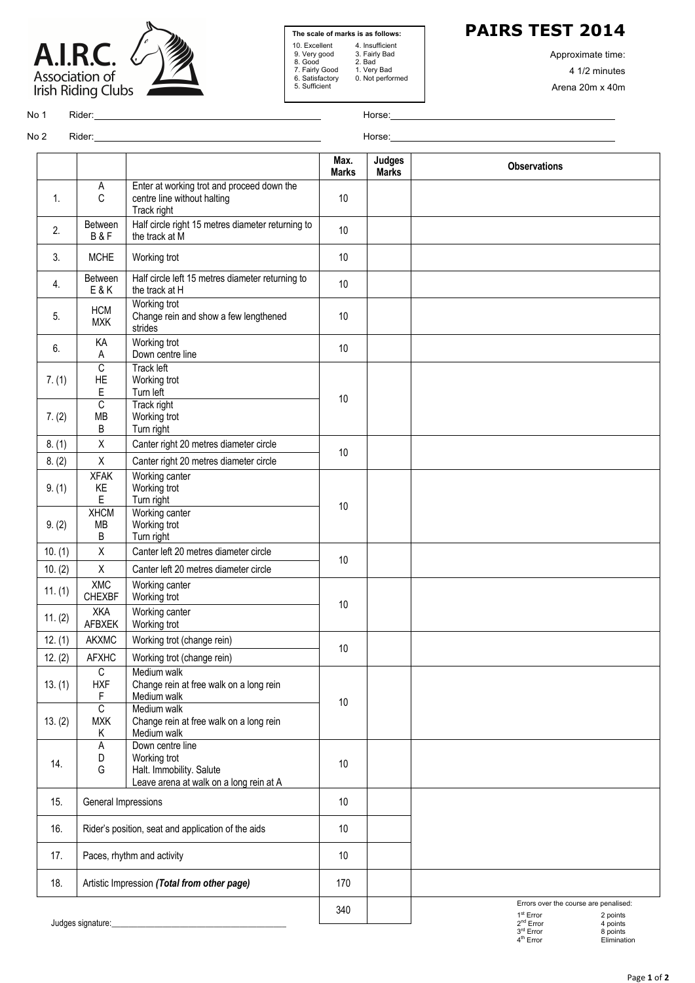



**The scale of marks is as follows:** 10. Excellent 4. Insufficient 9. Very good 3. Fairly Bad 8. Good 2. Bad 7. Fairly Good 1. Very Bad 4. Insumcient<br>3. Fairly Bad<br>2. Bad<br>1. Very Bad<br>0. Not performed 5. Sufficient

**PAIRS TEST 2014**

Approximate time: 4 1/2 minutes Arena 20m x 40m

No 1 Rider: Horse:

No 2 Rider: Horse:

|         |                                                    |                                                                                                         | Max.<br><b>Marks</b> | <b>Judges</b><br><b>Marks</b> | <b>Observations</b>                                                                                            |
|---------|----------------------------------------------------|---------------------------------------------------------------------------------------------------------|----------------------|-------------------------------|----------------------------------------------------------------------------------------------------------------|
| 1.      | A<br>C                                             | Enter at working trot and proceed down the<br>centre line without halting<br>Track right                | 10                   |                               |                                                                                                                |
| 2.      | Between<br>B&F                                     | Half circle right 15 metres diameter returning to<br>the track at M                                     | 10                   |                               |                                                                                                                |
| 3.      | <b>MCHE</b>                                        | Working trot                                                                                            | 10                   |                               |                                                                                                                |
| 4.      | Between<br><b>E&amp;K</b>                          | Half circle left 15 metres diameter returning to<br>the track at H                                      | 10                   |                               |                                                                                                                |
| 5.      | <b>HCM</b><br><b>MXK</b>                           | Working trot<br>Change rein and show a few lengthened<br>strides                                        | 10                   |                               |                                                                                                                |
| 6.      | КA<br>A                                            | Working trot<br>Down centre line                                                                        | 10                   |                               |                                                                                                                |
| 7. (1)  | $\overline{C}$<br>HE<br>E                          | <b>Track left</b><br>Working trot<br>Turn left                                                          | 10                   |                               |                                                                                                                |
| 7. (2)  | $\overline{c}$<br><b>MB</b><br>B                   | Track right<br>Working trot<br>Turn right                                                               |                      |                               |                                                                                                                |
| 8. (1)  | $\mathsf X$                                        | Canter right 20 metres diameter circle                                                                  | 10                   |                               |                                                                                                                |
| 8. (2)  | $\mathsf X$                                        | Canter right 20 metres diameter circle                                                                  |                      |                               |                                                                                                                |
| 9. (1)  | <b>XFAK</b><br>KE<br>E                             | Working canter<br>Working trot<br>Turn right                                                            | 10                   |                               |                                                                                                                |
| 9. (2)  | <b>XHCM</b><br><b>MB</b><br>B                      | Working canter<br>Working trot<br>Turn right                                                            |                      |                               |                                                                                                                |
| 10. (1) | $\mathsf X$                                        | Canter left 20 metres diameter circle                                                                   | 10                   |                               |                                                                                                                |
| 10. (2) | $\mathsf X$                                        | Canter left 20 metres diameter circle                                                                   |                      |                               |                                                                                                                |
| 11. (1) | <b>XMC</b><br><b>CHEXBF</b>                        | Working canter<br>Working trot                                                                          | 10                   |                               |                                                                                                                |
| 11. (2) | XKA<br>AFBXEK                                      | Working canter<br>Working trot                                                                          |                      |                               |                                                                                                                |
| 12. (1) | <b>AKXMC</b>                                       | Working trot (change rein)                                                                              | 10                   |                               |                                                                                                                |
| 12. (2) | <b>AFXHC</b>                                       | Working trot (change rein)                                                                              |                      |                               |                                                                                                                |
| 13. (1) | C<br><b>HXF</b><br>F                               | Medium walk<br>Change rein at free walk on a long rein<br>Medium walk                                   | 10                   |                               |                                                                                                                |
| 13. (2) | $\overline{C}$<br><b>MXK</b><br>Κ                  | Medium walk<br>Change rein at free walk on a long rein<br>Medium walk                                   |                      |                               |                                                                                                                |
| 14.     | А<br>D<br>G                                        | Down centre line<br>Working trot<br>Halt. Immobility. Salute<br>Leave arena at walk on a long rein at A | 10                   |                               |                                                                                                                |
| 15.     | General Impressions                                |                                                                                                         | 10                   |                               |                                                                                                                |
| 16.     | Rider's position, seat and application of the aids |                                                                                                         | 10                   |                               |                                                                                                                |
| 17.     | Paces, rhythm and activity                         |                                                                                                         | 10                   |                               |                                                                                                                |
| 18.     | Artistic Impression (Total from other page)        |                                                                                                         | 170                  |                               |                                                                                                                |
|         |                                                    |                                                                                                         | 340                  |                               | Errors over the course are penalised:<br>1 <sup>st</sup> Error<br>2 points                                     |
|         | Judges signature:                                  |                                                                                                         |                      |                               | 2 <sup>nd</sup> Error<br>4 points<br>$3^{\text{rd}}$ Error<br>8 points<br>4 <sup>th</sup> Error<br>Elimination |